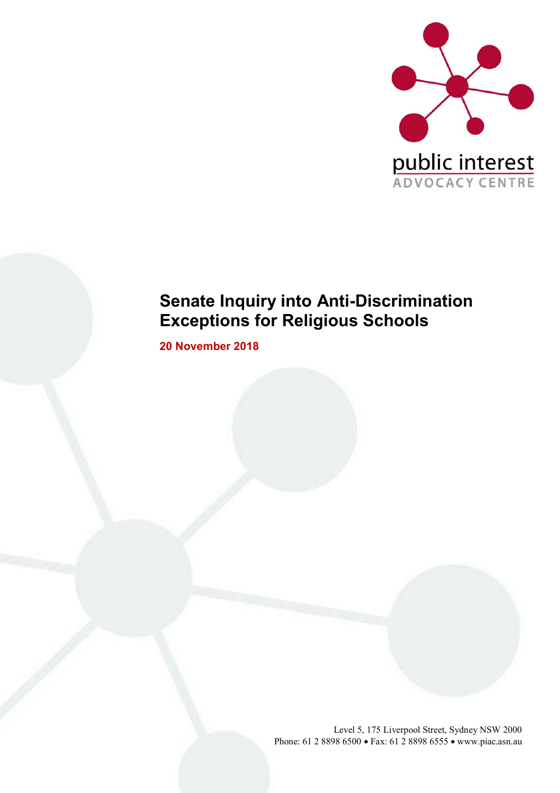

# **Senate Inquiry into Anti-Discrimination Exceptions for Religious Schools**

**20 November 2018**

Level 5, 175 Liverpool Street, Sydney NSW 2000 Phone: 61 2 8898 6500 • Fax: 61 2 8898 6555 • www.piac.asn.au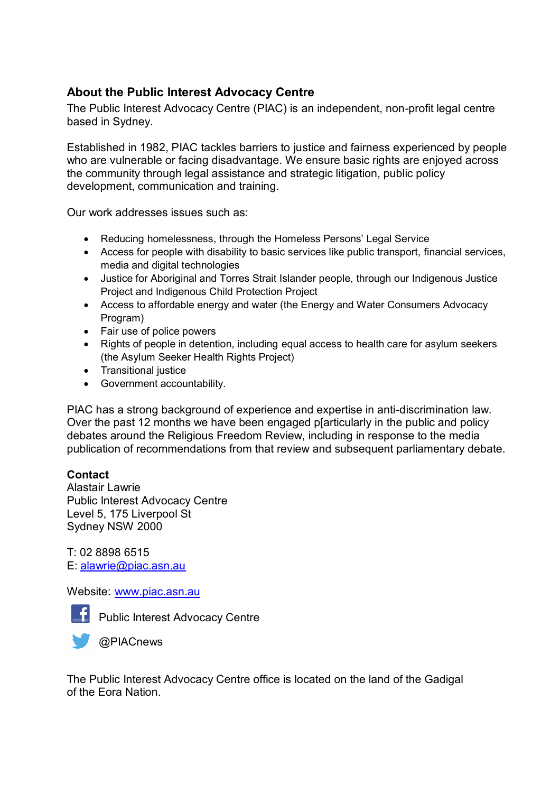### **About the Public Interest Advocacy Centre**

The Public Interest Advocacy Centre (PIAC) is an independent, non-profit legal centre based in Sydney.

Established in 1982, PIAC tackles barriers to justice and fairness experienced by people who are vulnerable or facing disadvantage. We ensure basic rights are enjoyed across the community through legal assistance and strategic litigation, public policy development, communication and training.

Our work addresses issues such as:

- Reducing homelessness, through the Homeless Persons' Legal Service
- Access for people with disability to basic services like public transport, financial services, media and digital technologies
- Justice for Aboriginal and Torres Strait Islander people, through our Indigenous Justice Project and Indigenous Child Protection Project
- Access to affordable energy and water (the Energy and Water Consumers Advocacy Program)
- Fair use of police powers
- Rights of people in detention, including equal access to health care for asylum seekers (the Asylum Seeker Health Rights Project)
- Transitional justice
- Government accountability.

PIAC has a strong background of experience and expertise in anti-discrimination law. Over the past 12 months we have been engaged p[articularly in the public and policy debates around the Religious Freedom Review, including in response to the media publication of recommendations from that review and subsequent parliamentary debate.

### **Contact**

Alastair Lawrie Public Interest Advocacy Centre Level 5, 175 Liverpool St Sydney NSW 2000

T: 02 8898 6515 E: [alawrie@piac.asn.au](mailto:alawrie@piac.asn.au)

Website: [www.piac.asn.au](http://www.piac.asn.au/)



**F** Public Interest Advocacy Centre



The Public Interest Advocacy Centre office is located on the land of the Gadigal of the Eora Nation.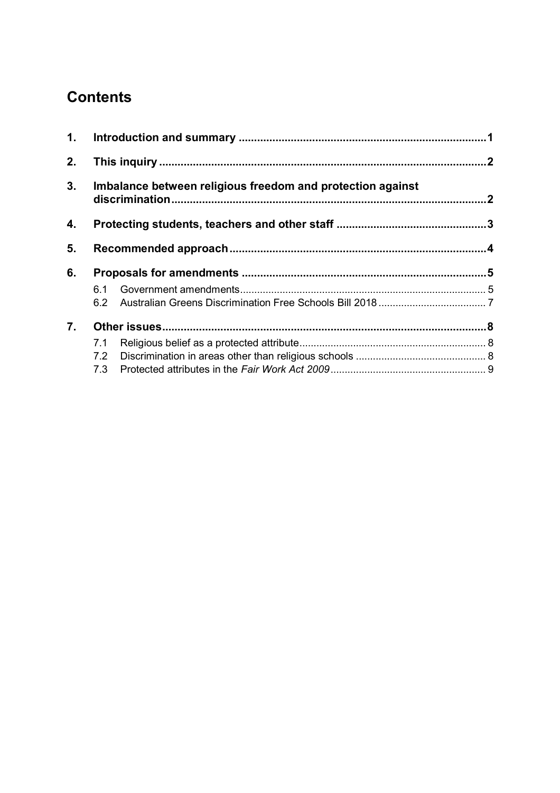# **Contents**

| 1. |                                                            |  |  |
|----|------------------------------------------------------------|--|--|
| 2. |                                                            |  |  |
| 3. | Imbalance between religious freedom and protection against |  |  |
| 4. |                                                            |  |  |
| 5. |                                                            |  |  |
| 6. |                                                            |  |  |
|    | 6.1                                                        |  |  |
|    |                                                            |  |  |
| 7. |                                                            |  |  |
|    | 7.1                                                        |  |  |
|    |                                                            |  |  |
|    |                                                            |  |  |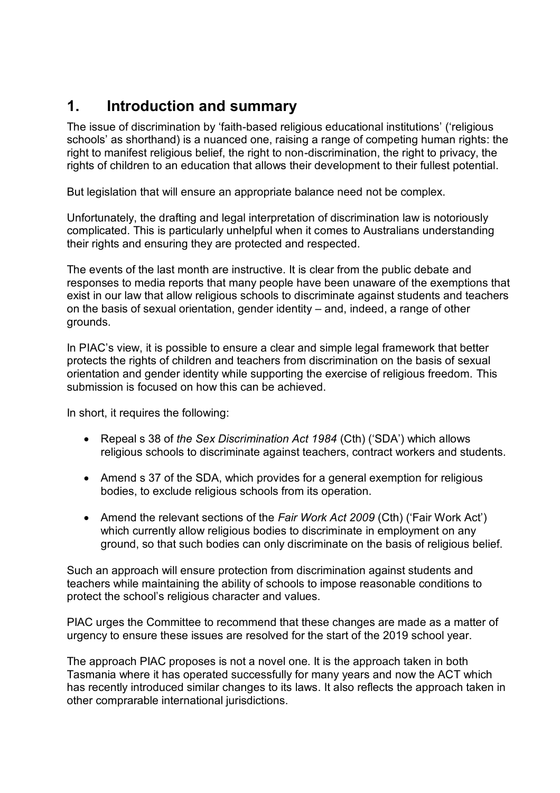# <span id="page-4-0"></span>**1. Introduction and summary**

The issue of discrimination by 'faith-based religious educational institutions' ('religious schools' as shorthand) is a nuanced one, raising a range of competing human rights: the right to manifest religious belief, the right to non-discrimination, the right to privacy, the rights of children to an education that allows their development to their fullest potential.

But legislation that will ensure an appropriate balance need not be complex.

Unfortunately, the drafting and legal interpretation of discrimination law is notoriously complicated. This is particularly unhelpful when it comes to Australians understanding their rights and ensuring they are protected and respected.

The events of the last month are instructive. It is clear from the public debate and responses to media reports that many people have been unaware of the exemptions that exist in our law that allow religious schools to discriminate against students and teachers on the basis of sexual orientation, gender identity – and, indeed, a range of other grounds.

In PIAC's view, it is possible to ensure a clear and simple legal framework that better protects the rights of children and teachers from discrimination on the basis of sexual orientation and gender identity while supporting the exercise of religious freedom. This submission is focused on how this can be achieved.

In short, it requires the following:

- Repeal s 38 of *the Sex Discrimination Act 1984* (Cth) ('SDA') which allows religious schools to discriminate against teachers, contract workers and students.
- Amend s 37 of the SDA, which provides for a general exemption for religious bodies, to exclude religious schools from its operation.
- Amend the relevant sections of the *Fair Work Act 2009* (Cth) ('Fair Work Act') which currently allow religious bodies to discriminate in employment on any ground, so that such bodies can only discriminate on the basis of religious belief.

Such an approach will ensure protection from discrimination against students and teachers while maintaining the ability of schools to impose reasonable conditions to protect the school's religious character and values.

PIAC urges the Committee to recommend that these changes are made as a matter of urgency to ensure these issues are resolved for the start of the 2019 school year.

The approach PIAC proposes is not a novel one. It is the approach taken in both Tasmania where it has operated successfully for many years and now the ACT which has recently introduced similar changes to its laws. It also reflects the approach taken in other comprarable international jurisdictions.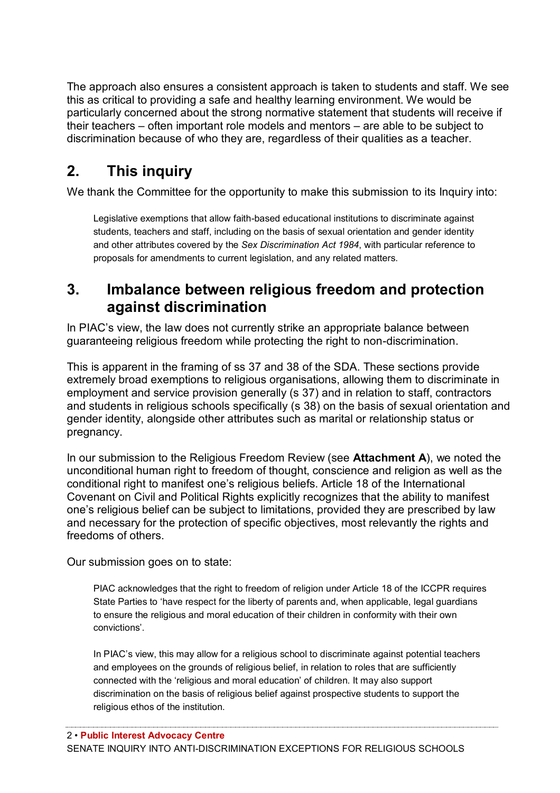The approach also ensures a consistent approach is taken to students and staff. We see this as critical to providing a safe and healthy learning environment. We would be particularly concerned about the strong normative statement that students will receive if their teachers – often important role models and mentors – are able to be subject to discrimination because of who they are, regardless of their qualities as a teacher.

# <span id="page-5-0"></span>**2. This inquiry**

We thank the Committee for the opportunity to make this submission to its Inquiry into:

Legislative exemptions that allow faith-based educational institutions to discriminate against students, teachers and staff, including on the basis of sexual orientation and gender identity and other attributes covered by the *Sex Discrimination Act 1984*, with particular reference to proposals for amendments to current legislation, and any related matters.

## <span id="page-5-1"></span>**3. Imbalance between religious freedom and protection against discrimination**

In PIAC's view, the law does not currently strike an appropriate balance between guaranteeing religious freedom while protecting the right to non-discrimination.

This is apparent in the framing of ss 37 and 38 of the SDA. These sections provide extremely broad exemptions to religious organisations, allowing them to discriminate in employment and service provision generally (s 37) and in relation to staff, contractors and students in religious schools specifically (s 38) on the basis of sexual orientation and gender identity, alongside other attributes such as marital or relationship status or pregnancy.

In our submission to the Religious Freedom Review (see **Attachment A**), we noted the unconditional human right to freedom of thought, conscience and religion as well as the conditional right to manifest one's religious beliefs. Article 18 of the International Covenant on Civil and Political Rights explicitly recognizes that the ability to manifest one's religious belief can be subject to limitations, provided they are prescribed by law and necessary for the protection of specific objectives, most relevantly the rights and freedoms of others.

Our submission goes on to state:

PIAC acknowledges that the right to freedom of religion under Article 18 of the ICCPR requires State Parties to 'have respect for the liberty of parents and, when applicable, legal guardians to ensure the religious and moral education of their children in conformity with their own convictions'.

In PIAC's view, this may allow for a religious school to discriminate against potential teachers and employees on the grounds of religious belief, in relation to roles that are sufficiently connected with the 'religious and moral education' of children. It may also support discrimination on the basis of religious belief against prospective students to support the religious ethos of the institution.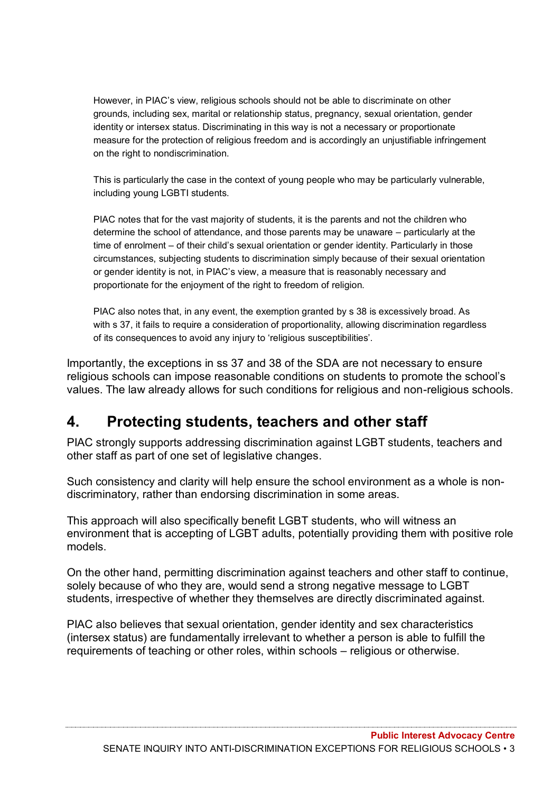However, in PIAC's view, religious schools should not be able to discriminate on other grounds, including sex, marital or relationship status, pregnancy, sexual orientation, gender identity or intersex status. Discriminating in this way is not a necessary or proportionate measure for the protection of religious freedom and is accordingly an unjustifiable infringement on the right to nondiscrimination.

This is particularly the case in the context of young people who may be particularly vulnerable, including young LGBTI students.

PIAC notes that for the vast majority of students, it is the parents and not the children who determine the school of attendance, and those parents may be unaware – particularly at the time of enrolment – of their child's sexual orientation or gender identity. Particularly in those circumstances, subjecting students to discrimination simply because of their sexual orientation or gender identity is not, in PIAC's view, a measure that is reasonably necessary and proportionate for the enjoyment of the right to freedom of religion.

PIAC also notes that, in any event, the exemption granted by s 38 is excessively broad. As with s 37, it fails to require a consideration of proportionality, allowing discrimination regardless of its consequences to avoid any injury to 'religious susceptibilities'.

Importantly, the exceptions in ss 37 and 38 of the SDA are not necessary to ensure religious schools can impose reasonable conditions on students to promote the school's values. The law already allows for such conditions for religious and non-religious schools.

# <span id="page-6-0"></span>**4. Protecting students, teachers and other staff**

PIAC strongly supports addressing discrimination against LGBT students, teachers and other staff as part of one set of legislative changes.

Such consistency and clarity will help ensure the school environment as a whole is nondiscriminatory, rather than endorsing discrimination in some areas.

This approach will also specifically benefit LGBT students, who will witness an environment that is accepting of LGBT adults, potentially providing them with positive role models.

On the other hand, permitting discrimination against teachers and other staff to continue, solely because of who they are, would send a strong negative message to LGBT students, irrespective of whether they themselves are directly discriminated against.

PIAC also believes that sexual orientation, gender identity and sex characteristics (intersex status) are fundamentally irrelevant to whether a person is able to fulfill the requirements of teaching or other roles, within schools – religious or otherwise.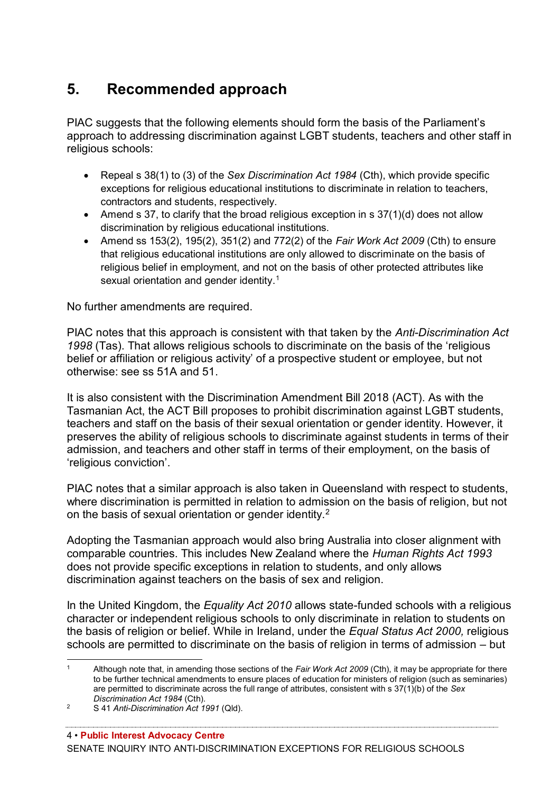# <span id="page-7-0"></span>**5. Recommended approach**

PIAC suggests that the following elements should form the basis of the Parliament's approach to addressing discrimination against LGBT students, teachers and other staff in religious schools:

- Repeal s 38(1) to (3) of the *Sex Discrimination Act 1984* (Cth), which provide specific exceptions for religious educational institutions to discriminate in relation to teachers, contractors and students, respectively.
- Amend s 37, to clarify that the broad religious exception in s 37(1)(d) does not allow discrimination by religious educational institutions.
- Amend ss 153(2), 195(2), 351(2) and 772(2) of the *Fair Work Act 2009* (Cth) to ensure that religious educational institutions are only allowed to discriminate on the basis of religious belief in employment, and not on the basis of other protected attributes like sexual orientation and gender identity.<sup>1</sup>

No further amendments are required.

PIAC notes that this approach is consistent with that taken by the *Anti-Discrimination Act 1998* (Tas). That allows religious schools to discriminate on the basis of the 'religious belief or affiliation or religious activity' of a prospective student or employee, but not otherwise: see ss 51A and 51.

It is also consistent with the Discrimination Amendment Bill 2018 (ACT). As with the Tasmanian Act, the ACT Bill proposes to prohibit discrimination against LGBT students, teachers and staff on the basis of their sexual orientation or gender identity. However, it preserves the ability of religious schools to discriminate against students in terms of their admission, and teachers and other staff in terms of their employment, on the basis of 'religious conviction'.

PIAC notes that a similar approach is also taken in Queensland with respect to students, where discrimination is permitted in relation to admission on the basis of religion, but not on the basis of sexual orientation or gender identity.<sup>2</sup>

Adopting the Tasmanian approach would also bring Australia into closer alignment with comparable countries. This includes New Zealand where the *Human Rights Act 1993* does not provide specific exceptions in relation to students, and only allows discrimination against teachers on the basis of sex and religion.

In the United Kingdom, the *Equality Act 2010* allows state-funded schools with a religious character or independent religious schools to only discriminate in relation to students on the basis of religion or belief. While in Ireland, under the *Equal Status Act 2000,* religious schools are permitted to discriminate on the basis of religion in terms of admission – but

 $\mathbf{1}$ Although note that, in amending those sections of the *Fair Work Act 2009* (Cth), it may be appropriate for there to be further technical amendments to ensure places of education for ministers of religion (such as seminaries) are permitted to discriminate across the full range of attributes, consistent with s 37(1)(b) of the *Sex Discrimination Act 1984* (Cth).

<sup>2</sup> S 41 *Anti-Discrimination Act 1991* (Qld).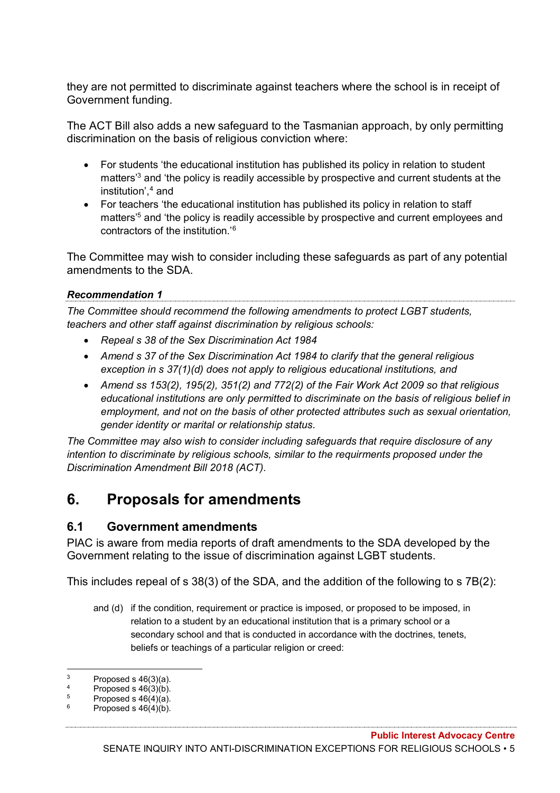they are not permitted to discriminate against teachers where the school is in receipt of Government funding.

The ACT Bill also adds a new safeguard to the Tasmanian approach, by only permitting discrimination on the basis of religious conviction where:

- For students 'the educational institution has published its policy in relation to student matters'<sup>3</sup> and 'the policy is readily accessible by prospective and current students at the institution',<sup>4</sup> and
- For teachers 'the educational institution has published its policy in relation to staff matters<sup>'5</sup> and 'the policy is readily accessible by prospective and current employees and contractors of the institution.'<sup>6</sup>

The Committee may wish to consider including these safeguards as part of any potential amendments to the SDA.

#### *Recommendation 1*

*The Committee should recommend the following amendments to protect LGBT students, teachers and other staff against discrimination by religious schools:*

- *Repeal s 38 of the Sex Discrimination Act 1984*
- *Amend s 37 of the Sex Discrimination Act 1984 to clarify that the general religious exception in s 37(1)(d) does not apply to religious educational institutions, and*
- *Amend ss 153(2), 195(2), 351(2) and 772(2) of the Fair Work Act 2009 so that religious educational institutions are only permitted to discriminate on the basis of religious belief in employment, and not on the basis of other protected attributes such as sexual orientation, gender identity or marital or relationship status.*

*The Committee may also wish to consider including safeguards that require disclosure of any intention to discriminate by religious schools, similar to the requirments proposed under the Discrimination Amendment Bill 2018 (ACT).*

# <span id="page-8-0"></span>**6. Proposals for amendments**

#### <span id="page-8-1"></span>**6.1 Government amendments**

PIAC is aware from media reports of draft amendments to the SDA developed by the Government relating to the issue of discrimination against LGBT students.

This includes repeal of s 38(3) of the SDA, and the addition of the following to s 7B(2):

and (d) if the condition, requirement or practice is imposed, or proposed to be imposed, in relation to a student by an educational institution that is a primary school or a secondary school and that is conducted in accordance with the doctrines, tenets, beliefs or teachings of a particular religion or creed:

 $\overline{3}$  $\frac{3}{4}$  Proposed s 46(3)(a).

<sup>4</sup> Proposed s  $46(3)(b)$ .<br>5 Proposed s  $46(4)(c)$ 

 $5$  Proposed s  $46(4)(a)$ .

Proposed s  $46(4)(b)$ .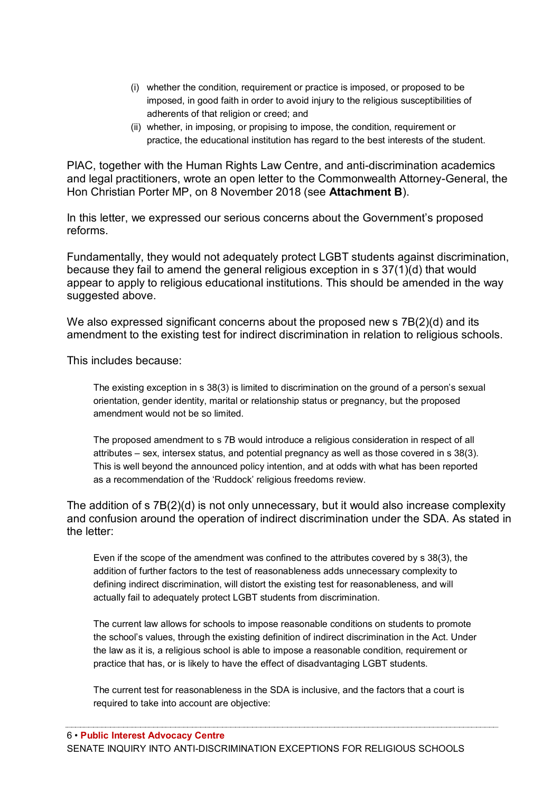- (i) whether the condition, requirement or practice is imposed, or proposed to be imposed, in good faith in order to avoid injury to the religious susceptibilities of adherents of that religion or creed; and
- (ii) whether, in imposing, or propising to impose, the condition, requirement or practice, the educational institution has regard to the best interests of the student.

PIAC, together with the Human Rights Law Centre, and anti-discrimination academics and legal practitioners, wrote an open letter to the Commonwealth Attorney-General, the Hon Christian Porter MP, on 8 November 2018 (see **Attachment B**).

In this letter, we expressed our serious concerns about the Government's proposed reforms.

Fundamentally, they would not adequately protect LGBT students against discrimination, because they fail to amend the general religious exception in s 37(1)(d) that would appear to apply to religious educational institutions. This should be amended in the way suggested above.

We also expressed significant concerns about the proposed new s  $7B(2)(d)$  and its amendment to the existing test for indirect discrimination in relation to religious schools.

This includes because:

The existing exception in s 38(3) is limited to discrimination on the ground of a person's sexual orientation, gender identity, marital or relationship status or pregnancy, but the proposed amendment would not be so limited.

The proposed amendment to s 7B would introduce a religious consideration in respect of all attributes – sex, intersex status, and potential pregnancy as well as those covered in s 38(3). This is well beyond the announced policy intention, and at odds with what has been reported as a recommendation of the 'Ruddock' religious freedoms review.

The addition of s 7B(2)(d) is not only unnecessary, but it would also increase complexity and confusion around the operation of indirect discrimination under the SDA. As stated in the letter:

Even if the scope of the amendment was confined to the attributes covered by s 38(3), the addition of further factors to the test of reasonableness adds unnecessary complexity to defining indirect discrimination, will distort the existing test for reasonableness, and will actually fail to adequately protect LGBT students from discrimination.

The current law allows for schools to impose reasonable conditions on students to promote the school's values, through the existing definition of indirect discrimination in the Act. Under the law as it is, a religious school is able to impose a reasonable condition, requirement or practice that has, or is likely to have the effect of disadvantaging LGBT students.

The current test for reasonableness in the SDA is inclusive, and the factors that a court is required to take into account are objective: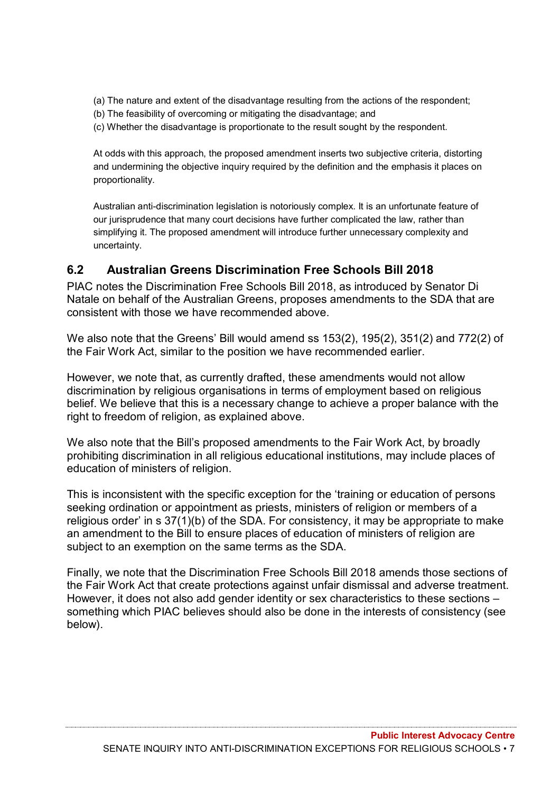- (a) The nature and extent of the disadvantage resulting from the actions of the respondent;
- (b) The feasibility of overcoming or mitigating the disadvantage; and
- (c) Whether the disadvantage is proportionate to the result sought by the respondent.

At odds with this approach, the proposed amendment inserts two subjective criteria, distorting and undermining the objective inquiry required by the definition and the emphasis it places on proportionality.

Australian anti-discrimination legislation is notoriously complex. It is an unfortunate feature of our jurisprudence that many court decisions have further complicated the law, rather than simplifying it. The proposed amendment will introduce further unnecessary complexity and uncertainty.

### <span id="page-10-0"></span>**6.2 Australian Greens Discrimination Free Schools Bill 2018**

PIAC notes the Discrimination Free Schools Bill 2018, as introduced by Senator Di Natale on behalf of the Australian Greens, proposes amendments to the SDA that are consistent with those we have recommended above.

We also note that the Greens' Bill would amend ss 153(2), 195(2), 351(2) and 772(2) of the Fair Work Act, similar to the position we have recommended earlier.

However, we note that, as currently drafted, these amendments would not allow discrimination by religious organisations in terms of employment based on religious belief. We believe that this is a necessary change to achieve a proper balance with the right to freedom of religion, as explained above.

We also note that the Bill's proposed amendments to the Fair Work Act, by broadly prohibiting discrimination in all religious educational institutions, may include places of education of ministers of religion.

This is inconsistent with the specific exception for the 'training or education of persons seeking ordination or appointment as priests, ministers of religion or members of a religious order' in  $s$  37(1)(b) of the SDA. For consistency, it may be appropriate to make an amendment to the Bill to ensure places of education of ministers of religion are subject to an exemption on the same terms as the SDA.

Finally, we note that the Discrimination Free Schools Bill 2018 amends those sections of the Fair Work Act that create protections against unfair dismissal and adverse treatment. However, it does not also add gender identity or sex characteristics to these sections – something which PIAC believes should also be done in the interests of consistency (see below).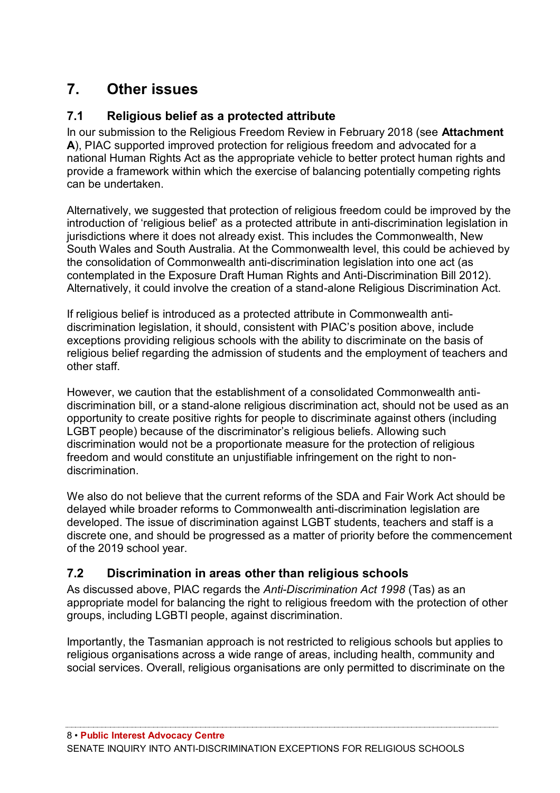# <span id="page-11-0"></span>**7. Other issues**

## <span id="page-11-1"></span>**7.1 Religious belief as a protected attribute**

In our submission to the Religious Freedom Review in February 2018 (see **Attachment A**), PIAC supported improved protection for religious freedom and advocated for a national Human Rights Act as the appropriate vehicle to better protect human rights and provide a framework within which the exercise of balancing potentially competing rights can be undertaken.

Alternatively, we suggested that protection of religious freedom could be improved by the introduction of 'religious belief' as a protected attribute in anti-discrimination legislation in jurisdictions where it does not already exist. This includes the Commonwealth, New South Wales and South Australia. At the Commonwealth level, this could be achieved by the consolidation of Commonwealth anti-discrimination legislation into one act (as contemplated in the Exposure Draft Human Rights and Anti-Discrimination Bill 2012). Alternatively, it could involve the creation of a stand-alone Religious Discrimination Act.

If religious belief is introduced as a protected attribute in Commonwealth antidiscrimination legislation, it should, consistent with PIAC's position above, include exceptions providing religious schools with the ability to discriminate on the basis of religious belief regarding the admission of students and the employment of teachers and other staff.

However, we caution that the establishment of a consolidated Commonwealth antidiscrimination bill, or a stand-alone religious discrimination act, should not be used as an opportunity to create positive rights for people to discriminate against others (including LGBT people) because of the discriminator's religious beliefs. Allowing such discrimination would not be a proportionate measure for the protection of religious freedom and would constitute an unjustifiable infringement on the right to nondiscrimination.

We also do not believe that the current reforms of the SDA and Fair Work Act should be delayed while broader reforms to Commonwealth anti-discrimination legislation are developed. The issue of discrimination against LGBT students, teachers and staff is a discrete one, and should be progressed as a matter of priority before the commencement of the 2019 school year.

## <span id="page-11-2"></span>**7.2 Discrimination in areas other than religious schools**

As discussed above, PIAC regards the *Anti-Discrimination Act 1998* (Tas) as an appropriate model for balancing the right to religious freedom with the protection of other groups, including LGBTI people, against discrimination.

Importantly, the Tasmanian approach is not restricted to religious schools but applies to religious organisations across a wide range of areas, including health, community and social services. Overall, religious organisations are only permitted to discriminate on the